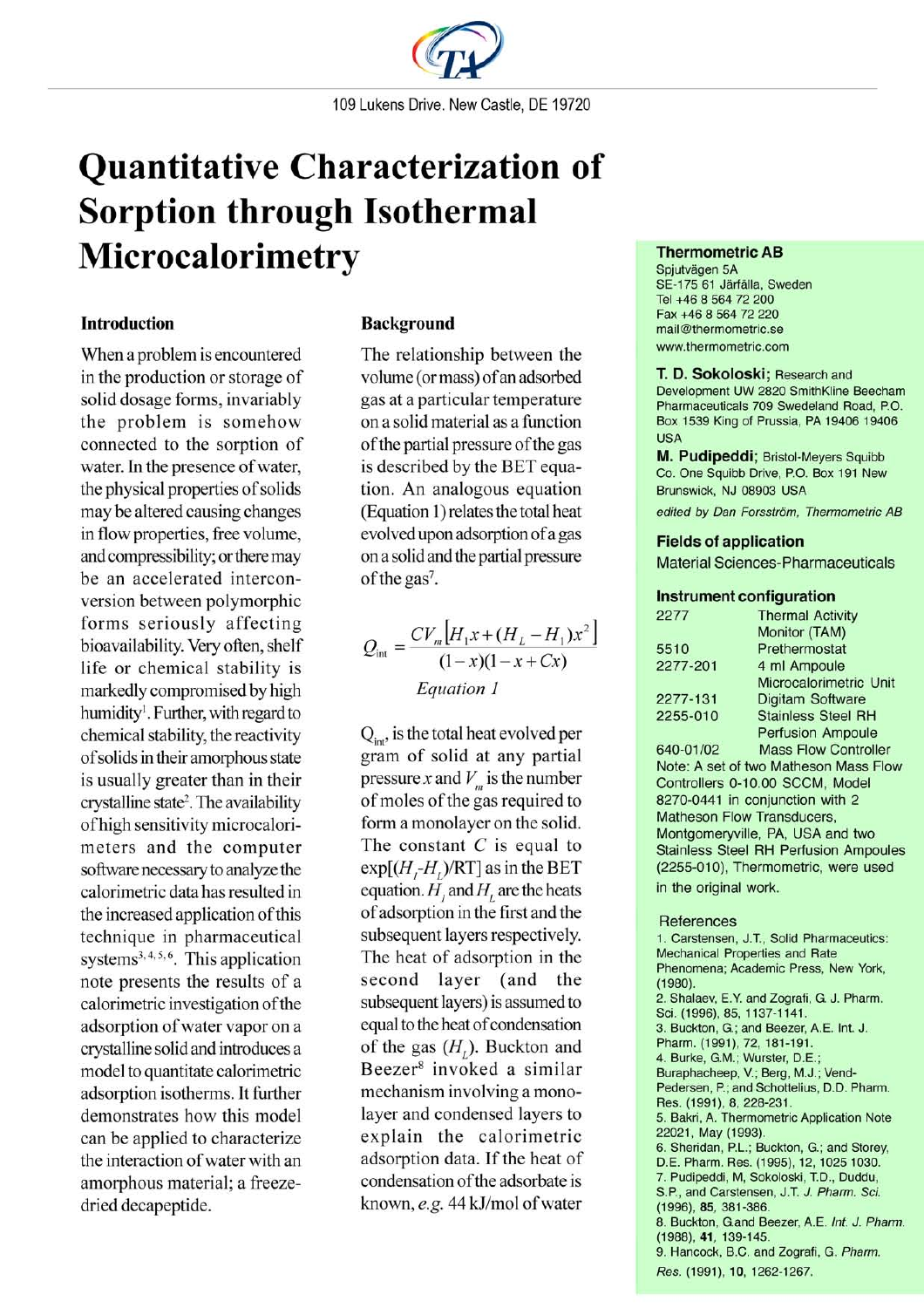

# **Quantitative Characterization of Sorption through Isothermal** Microcalorimetry

## **Introduction**

When a problem is encountered in the production or storage of solid dosage forms, invariably the problem is somehow connected to the sorption of water. In the presence of water, the physical properties of solids may be altered causing changes in flow properties, free volume, and compressibility; or there may be an accelerated interconversion between polymorphic forms seriously affecting bioavailability. Very often, shelf life or chemical stability is markedly compromised by high humidity<sup>1</sup>. Further, with regard to chemical stability, the reactivity of solids in their amorphous state is usually greater than in their crystalline state<sup>2</sup>. The availability of high sensitivity microcalorimeters and the computer software necessary to analyze the calorimetric data has resulted in the increased application of this technique in pharmaceutical systems<sup>3, 4, 5, 6</sup>. This application note presents the results of a calorimetric investigation of the adsorption of water vapor on a crystalline solid and introduces a model to quantitate calorimetric adsorption isotherms. It further demonstrates how this model can be applied to characterize the interaction of water with an amorphous material; a freezedried decapeptide.

## **Background**

The relationship between the volume (or mass) of an adsorbed gas at a particular temperature on a solid material as a function of the partial pressure of the gas is described by the BET equation. An analogous equation (Equation 1) relates the total heat evolved upon adsorption of a gas on a solid and the partial pressure of the gas<sup>7</sup>.

$$
Q_{\text{int}} = \frac{CV_m [H_1 x + (H_L - H_1) x^2]}{(1 - x)(1 - x + Cx)}
$$
  
Equation 1

 $Q_{\text{int}}$ , is the total heat evolved per gram of solid at any partial pressure x and  $V_m$  is the number of moles of the gas required to form a monolayer on the solid. The constant  $C$  is equal to  $\exp[(H,-H)]$  (RT] as in the BET equation.  $H$ , and  $H$ , are the heats of adsorption in the first and the subsequent layers respectively. The heat of adsorption in the second layer (and the subsequent layers) is assumed to equal to the heat of condensation of the gas  $(H<sub>i</sub>)$ . Buckton and Beezer<sup>8</sup> invoked a similar mechanism involving a monolayer and condensed layers to explain the calorimetric adsorption data. If the heat of condensation of the adsorbate is known, e.g. 44 kJ/mol of water

#### **Thermometric AB**

Spjutvägen 5A SE-175 61 Järfälla, Sweden Tel +46 8 564 72 200 Fax +46 8 564 72 220 mail@thermometric.se www.thermometric.com

T. D. Sokoloski; Research and Development UW 2820 SmithKline Beecham Pharmaceuticals 709 Swedeland Road, P.O. Box 1539 King of Prussia, PA 19406 19406 USA

M. Pudipeddi; Bristol-Meyers Squibb Co. One Squibb Drive, P.O. Box 191 New Brunswick, NJ 08903 USA

edited by Dan Forsström. Thermometric AB

#### **Fields of application**

**Material Sciences-Pharmaceuticals** 

#### **Instrument configuration**

| 2277       | <b>Thermal Activity</b>   |
|------------|---------------------------|
|            | Monitor (TAM)             |
| 5510       | Prethermostat             |
| 2277-201   | 4 ml Ampoule              |
|            | Microcalorimetric Unit    |
| 2277-131   | Digitam Software          |
| 2255-010   | <b>Stainless Steel RH</b> |
|            | <b>Perfusion Ampoule</b>  |
| 0.40.04100 | $M = -$ Flow Controller   |

**Mass Flow Controller** 640-01/02 Note: A set of two Matheson Mass Flow Controllers 0-10.00 SCCM, Model 8270-0441 in conjunction with 2 Matheson Flow Transducers. Montgomeryville, PA, USA and two **Stainless Steel RH Perfusion Ampoules** (2255-010), Thermometric, were used in the original work.

#### References

1. Carstensen, J.T., Solid Pharmaceutics: Mechanical Properties and Rate Phenomena; Academic Press, New York,  $(1980)$ 2. Shalaev, E.Y. and Zografi, G. J. Pharm. Sci. (1996), 85, 1137-1141. 3. Buckton, G.; and Beezer, A.E. Int. J. Pharm. (1991), 72, 181-191. 4. Burke, G.M.; Wurster, D.E.; Buraphacheep, V.; Berg, M.J.; Vend-Pedersen, P.; and Schottelius, D.D. Pharm. Res. (1991), 8, 228-231 5. Bakri, A. Thermometric Application Note 22021, May (1993). 6. Sheridan, P.L.; Buckton, G.; and Storey, D.E. Pharm. Res. (1995), 12, 1025 1030. 7. Pudipeddi, M, Sokoloski, T.D., Duddu, S.P., and Carstensen, J.T. J. Pharm. Sci. (1996), 85, 381-386. 8. Buckton, G.and Beezer, A.E. Int. J. Pharm. (1988), 41, 139-145. 9. Hancock, B.C. and Zografi, G. Pharm. Res. (1991), 10, 1262-1267.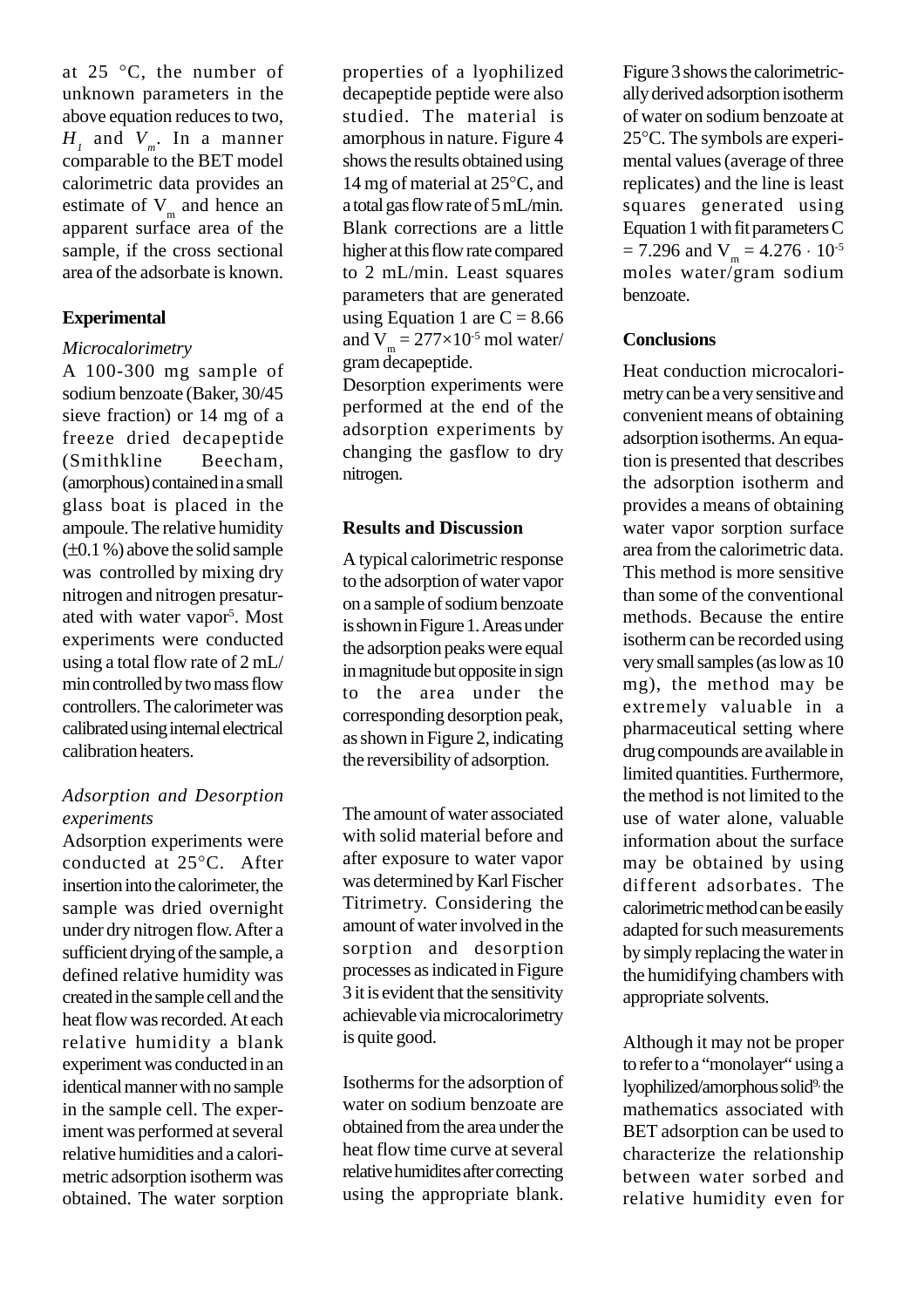at 25 °C, the number of unknown parameters in the above equation reduces to two, *H1* and *Vm*. In a manner comparable to the BET model calorimetric data provides an estimate of  $V_m$  and hence an apparent surface area of the sample, if the cross sectional area of the adsorbate is known.

## **Experimental**

# *Microcalorimetry*

A 100-300 mg sample of sodium benzoate (Baker, 30/45 sieve fraction) or 14 mg of a freeze dried decapeptide (Smithkline Beecham, (amorphous) contained in a small glass boat is placed in the ampoule. The relative humidity  $(\pm 0.1\%)$  above the solid sample was controlled by mixing dry nitrogen and nitrogen presaturated with water vapor<sup>5</sup>. Most experiments were conducted using a total flow rate of 2 mL/ min controlled by two mass flow controllers. The calorimeter was calibrated using internal electrical calibration heaters.

# *Adsorption and Desorption experiments*

Adsorption experiments were conducted at 25°C. After insertion into the calorimeter, the sample was dried overnight under dry nitrogen flow. After a sufficient drying of the sample, a defined relative humidity was created in the sample cell and the heat flow was recorded. At each relative humidity a blank experiment was conducted in an identical manner with no sample in the sample cell. The experiment was performed at several relative humidities and a calorimetric adsorption isotherm was obtained. The water sorption

properties of a lyophilized decapeptide peptide were also studied. The material is amorphous in nature. Figure 4 shows the results obtained using 14 mg of material at 25°C, and a total gas flow rate of 5 mL/min. Blank corrections are a little higher at this flow rate compared to 2 mL/min. Least squares parameters that are generated using Equation 1 are  $C = 8.66$ and  $V_m = 277 \times 10^{-5}$  mol water/ gram decapeptide.

Desorption experiments were performed at the end of the adsorption experiments by changing the gasflow to dry nitrogen.

## **Results and Discussion**

A typical calorimetric response to the adsorption of water vapor on a sample of sodium benzoate is shown in Figure 1. Areas under the adsorption peaks were equal in magnitude but opposite in sign to the area under the corresponding desorption peak, as shown in Figure 2, indicating the reversibility of adsorption.

The amount of water associated with solid material before and after exposure to water vapor was determined by Karl Fischer Titrimetry. Considering the amount of water involved in the sorption and desorption processes as indicated in Figure 3 it is evident that the sensitivity achievable via microcalorimetry is quite good.

Isotherms for the adsorption of water on sodium benzoate are obtained from the area under the heat flow time curve at several relative humidites after correcting using the appropriate blank. Figure 3 shows the calorimetrically derived adsorption isotherm of water on sodium benzoate at 25°C. The symbols are experimental values (average of three replicates) and the line is least squares generated using Equation 1 with fit parameters C  $= 7.296$  and  $V_m = 4.276 \cdot 10^{-5}$ moles water/gram sodium benzoate.

# **Conclusions**

Heat conduction microcalorimetry can be a very sensitive and convenient means of obtaining adsorption isotherms. An equation is presented that describes the adsorption isotherm and provides a means of obtaining water vapor sorption surface area from the calorimetric data. This method is more sensitive than some of the conventional methods. Because the entire isotherm can be recorded using very small samples (as low as 10 mg), the method may be extremely valuable in a pharmaceutical setting where drug compounds are available in limited quantities. Furthermore, the method is not limited to the use of water alone, valuable information about the surface may be obtained by using different adsorbates. The calorimetric method can be easily adapted for such measurements by simply replacing the water in the humidifying chambers with appropriate solvents.

Although it may not be proper to refer to a "monolayer" using a lyophilized/amorphous solid<sup>9,</sup> the mathematics associated with BET adsorption can be used to characterize the relationship between water sorbed and relative humidity even for